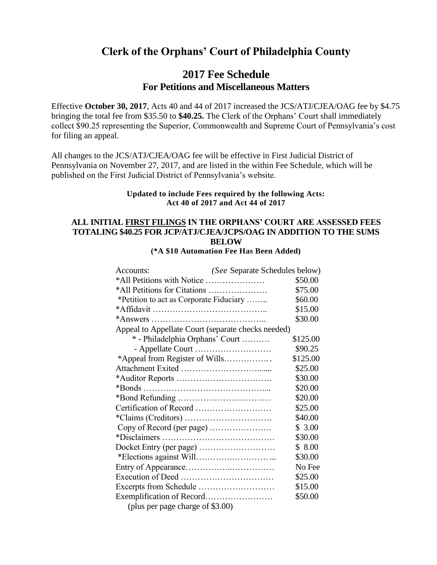# **Clerk of the Orphans' Court of Philadelphia County**

### **2017 Fee Schedule For Petitions and Miscellaneous Matters**

Effective **October 30, 2017**, Acts 40 and 44 of 2017 increased the JCS/ATJ/CJEA/OAG fee by \$4.75 bringing the total fee from \$35.50 to **\$40.25.** The Clerk of the Orphans' Court shall immediately collect \$90.25 representing the Superior, Commonwealth and Supreme Court of Pennsylvania's cost for filing an appeal.

All changes to the JCS/ATJ/CJEA/OAG fee will be effective in First Judicial District of Pennsylvania on November 27, 2017, and are listed in the within Fee Schedule, which will be published on the First Judicial District of Pennsylvania's website.

#### **Updated to include Fees required by the following Acts: Act 40 of 2017 and Act 44 of 2017**

#### **ALL INITIAL FIRST FILINGS IN THE ORPHANS' COURT ARE ASSESSED FEES TOTALING \$40.25 FOR JCP/ATJ/CJEA/JCPS/OAG IN ADDITION TO THE SUMS BELOW**

**(\*A \$10 Automation Fee Has Been Added)**

| Accounts:                                          | (See Separate Schedules below) |          |
|----------------------------------------------------|--------------------------------|----------|
| *All Petitions with Notice                         |                                | \$50.00  |
| *All Petitions for Citations                       |                                | \$75.00  |
| *Petition to act as Corporate Fiduciary            |                                | \$60.00  |
|                                                    |                                | \$15.00  |
|                                                    |                                | \$30.00  |
| Appeal to Appellate Court (separate checks needed) |                                |          |
| * - Philadelphia Orphans' Court                    |                                | \$125.00 |
| - Appellate Court                                  |                                | \$90.25  |
| *Appeal from Register of Wills                     |                                | \$125.00 |
|                                                    |                                | \$25.00  |
|                                                    |                                | \$30.00  |
|                                                    |                                | \$20.00  |
|                                                    |                                | \$20.00  |
| Certification of Record                            |                                | \$25.00  |
|                                                    |                                | \$40.00  |
| Copy of Record (per page)                          |                                | \$3.00   |
|                                                    |                                | \$30.00  |
|                                                    |                                | \$8.00   |
|                                                    |                                | \$30.00  |
|                                                    |                                | No Fee   |
|                                                    |                                | \$25.00  |
|                                                    |                                | \$15.00  |
|                                                    |                                | \$50.00  |
| (plus per page charge of \$3.00)                   |                                |          |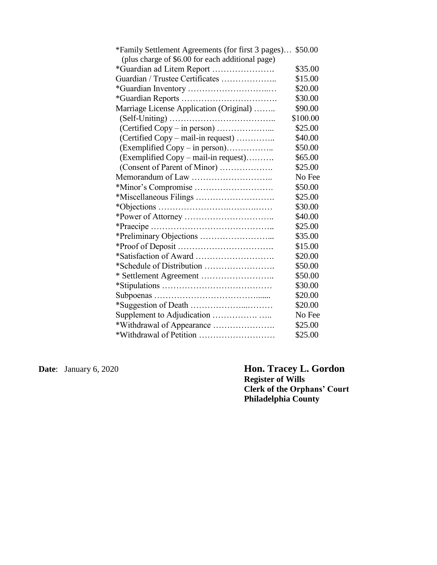| *Family Settlement Agreements (for first 3 pages) \$50.00 |          |
|-----------------------------------------------------------|----------|
| (plus charge of \$6.00 for each additional page)          |          |
| *Guardian ad Litem Report                                 | \$35.00  |
| Guardian / Trustee Certificates                           | \$15.00  |
|                                                           | \$20.00  |
|                                                           | \$30.00  |
| Marriage License Application (Original)                   | \$90.00  |
|                                                           | \$100.00 |
|                                                           | \$25.00  |
| (Certified Copy - mail-in request)                        | \$40.00  |
| (Exemplified Copy – in person)                            | \$50.00  |
| (Exemplified Copy – mail-in request)                      | \$65.00  |
| (Consent of Parent of Minor)                              | \$25.00  |
|                                                           | No Fee   |
|                                                           | \$50.00  |
|                                                           | \$25.00  |
|                                                           | \$30.00  |
|                                                           | \$40.00  |
|                                                           | \$25.00  |
|                                                           | \$35.00  |
|                                                           | \$15.00  |
|                                                           | \$20.00  |
|                                                           | \$50.00  |
|                                                           | \$50.00  |
|                                                           | \$30.00  |
|                                                           | \$20.00  |
|                                                           | \$20.00  |
|                                                           | No Fee   |
| *Withdrawal of Appearance                                 | \$25.00  |
|                                                           | \$25.00  |

**Date**: January 6, 2020 **Hon. Tracey L. Gordon Register of Wills Clerk of the Orphans' Court Philadelphia County**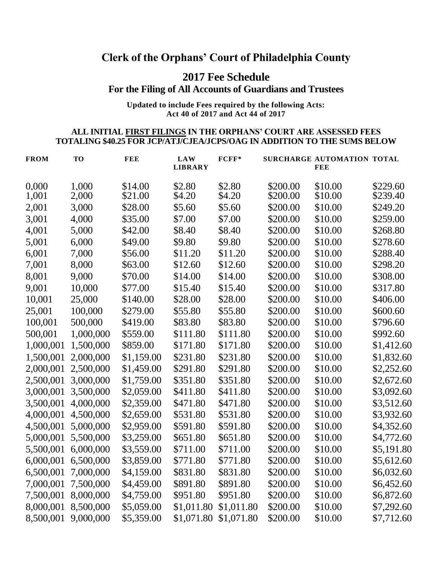# **Clerk of the Orphans' Court of Philadelphia County**

# **2017 Fee Schedule**

**For the Filing of All Accounts of Guardians and Trustees**

#### **Updated to include Fees required by the following Acts: Act 40 of 2017 and Act 44 of 2017**

#### **ALL INITIAL FIRST FILINGS IN THE ORPHANS' COURT ARE ASSESSED FEES TOTALING \$40.25 FOR JCP/ATJ/CJEA/JCPS/OAG IN ADDITION TO THE SUMS BELOW**

| <b>FROM</b>    | <b>TO</b>      | <b>FEE</b>         | <b>LAW</b><br><b>LIBRARY</b> | $FCFF*$          |                      | SURCHARGE AUTOMATION TOTAL<br>FEE |                      |
|----------------|----------------|--------------------|------------------------------|------------------|----------------------|-----------------------------------|----------------------|
| 0.000<br>1,001 | 1,000<br>2,000 | \$14.00<br>\$21.00 | \$2.80<br>\$4.20             | \$2.80<br>\$4.20 | \$200.00<br>\$200.00 | \$10.00<br>\$10.00                | \$229.60<br>\$239.40 |
| 2,001          | 3,000          | \$28.00            | \$5.60                       | \$5.60           | \$200.00             | \$10.00                           | \$249.20             |
| 3,001          | 4,000          | \$35.00            | \$7.00                       | \$7.00           | \$200.00             | \$10.00                           | \$259.00             |
| 4,001          | 5,000          | \$42.00            | \$8.40                       | \$8.40           | \$200.00             | \$10.00                           | \$268.80             |
| 5,001          | 6,000          | \$49.00            | \$9.80                       | \$9.80           | \$200.00             | \$10.00                           | \$278.60             |
| 6,001          | 7,000          | \$56.00            | \$11.20                      | \$11.20          | \$200.00             | \$10.00                           | \$288.40             |
|                | 8,000          | \$63.00            | \$12.60                      | \$12.60          | \$200.00             | \$10.00                           | \$298.20             |
| 7,001          |                |                    |                              |                  |                      |                                   |                      |
| 8,001          | 9,000          | \$70.00            | \$14.00                      | \$14.00          | \$200.00             | \$10.00                           | \$308.00             |
| 9,001          | 10,000         | \$77.00            | \$15.40                      | \$15.40          | \$200.00             | \$10.00                           | \$317.80             |
| 10,001         | 25,000         | \$140.00           | \$28.00                      | \$28.00          | \$200.00             | \$10.00                           | \$406.00             |
| 25,001         | 100,000        | \$279.00           | \$55.80                      | \$55.80          | \$200.00             | \$10.00                           | \$600.60             |
| 100,001        | 500,000        | \$419.00           | \$83.80                      | \$83.80          | \$200.00             | \$10.00                           | \$796.60             |
| 500,001        | 1,000,000      | \$559.00           | \$111.80                     | \$111.80         | \$200.00             | \$10.00                           | \$992.60             |
| 1,000,001      | 1,500,000      | \$859.00           | \$171.80                     | \$171.80         | \$200.00             | \$10.00                           | \$1,412.60           |
| 1,500,001      | 2,000,000      | \$1,159.00         | \$231.80                     | \$231.80         | \$200.00             | \$10.00                           | \$1,832.60           |
| 2,000,001      | 2,500,000      | \$1,459.00         | \$291.80                     | \$291.80         | \$200.00             | \$10.00                           | \$2,252.60           |
| 2,500,001      | 3,000,000      | \$1,759.00         | \$351.80                     | \$351.80         | \$200.00             | \$10.00                           | \$2,672.60           |
| 3,000,001      | 3,500,000      | \$2,059.00         | \$411.80                     | \$411.80         | \$200.00             | \$10.00                           | \$3,092.60           |
| 3,500,001      | 4,000,000      | \$2,359.00         | \$471.80                     | \$471.80         | \$200.00             | \$10.00                           | \$3,512.60           |
| 4,000,001      | 4,500,000      | \$2,659.00         | \$531.80                     | \$531.80         | \$200.00             | \$10.00                           | \$3,932.60           |
| 4,500,001      | 5,000,000      | \$2,959.00         | \$591.80                     | \$591.80         | \$200.00             | \$10.00                           | \$4,352.60           |
| 5,000,001      | 5,500,000      | \$3,259.00         | \$651.80                     | \$651.80         | \$200.00             | \$10.00                           | \$4,772.60           |
| 5,500,001      | 6,000,000      | \$3,559.00         | \$711.00                     | \$711.00         | \$200.00             | \$10.00                           | \$5,191.80           |
| 6,000,001      | 6,500,000      | \$3,859.00         | \$771.80                     | \$771.80         | \$200.00             | \$10.00                           | \$5,612.60           |
| 6,500,001      | 7,000,000      | \$4,159.00         | \$831.80                     | \$831.80         | \$200.00             | \$10.00                           | \$6,032.60           |
| 7,000,001      | 7,500,000      | \$4,459.00         | \$891.80                     | \$891.80         | \$200.00             | \$10.00                           | \$6,452.60           |
| 7,500,001      | 8,000,000      | \$4,759.00         | \$951.80                     | \$951.80         | \$200.00             | \$10.00                           | \$6,872.60           |
| 8,000,001      | 8,500,000      | \$5,059.00         | \$1,011.80                   | \$1,011.80       | \$200.00             | \$10.00                           | \$7,292.60           |
| 8,500,001      | 9,000,000      | \$5,359.00         | \$1,071.80                   | \$1,071.80       | \$200.00             | \$10.00                           | \$7,712.60           |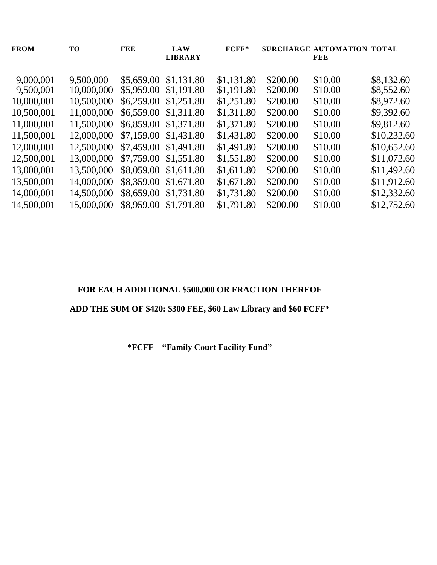| <b>FROM</b> | <b>TO</b>  | <b>FEE</b>            | <b>LAW</b><br><b>LIBRARY</b> | $FCFF*$    |          | SURCHARGE AUTOMATION TOTAL<br>FEE |             |
|-------------|------------|-----------------------|------------------------------|------------|----------|-----------------------------------|-------------|
|             |            |                       |                              |            |          |                                   |             |
| 9,000,001   | 9.500,000  | \$5,659.00            | \$1,131.80                   | \$1,131.80 | \$200.00 | \$10.00                           | \$8,132.60  |
| 9,500,001   | 10,000,000 | \$5,959.00            | \$1,191.80                   | \$1,191.80 | \$200.00 | \$10.00                           | \$8,552.60  |
| 10,000,001  | 10,500,000 | \$6,259.00            | \$1,251.80                   | \$1,251.80 | \$200.00 | \$10.00                           | \$8,972.60  |
| 10,500,001  | 11,000,000 | \$6,559.00            | \$1,311.80                   | \$1,311.80 | \$200.00 | \$10.00                           | \$9,392.60  |
| 11,000,001  | 11,500,000 | \$6,859.00 \$1,371.80 |                              | \$1,371.80 | \$200.00 | \$10.00                           | \$9,812.60  |
| 11,500,001  | 12,000,000 | \$7,159.00 \$1,431.80 |                              | \$1,431.80 | \$200.00 | \$10.00                           | \$10,232.60 |
| 12,000,001  | 12,500,000 | \$7,459.00 \$1,491.80 |                              | \$1,491.80 | \$200.00 | \$10.00                           | \$10,652.60 |
| 12,500,001  | 13,000,000 | \$7,759.00 \$1,551.80 |                              | \$1,551.80 | \$200.00 | \$10.00                           | \$11,072.60 |
| 13,000,001  | 13,500,000 | \$8,059.00 \$1,611.80 |                              | \$1,611.80 | \$200.00 | \$10.00                           | \$11,492.60 |
| 13,500,001  | 14,000,000 | \$8,359.00            | \$1,671.80                   | \$1,671.80 | \$200.00 | \$10.00                           | \$11,912.60 |
| 14,000,001  | 14,500,000 | \$8,659.00 \$1,731.80 |                              | \$1,731.80 | \$200.00 | \$10.00                           | \$12,332.60 |
| 14,500,001  | 15,000,000 | \$8,959.00            | \$1,791.80                   | \$1,791.80 | \$200.00 | \$10.00                           | \$12,752.60 |
|             |            |                       |                              |            |          |                                   |             |

### **FOR EACH ADDITIONAL \$500,000 OR FRACTION THEREOF**

## **ADD THE SUM OF \$420: \$300 FEE, \$60 Law Library and \$60 FCFF\***

**\*FCFF – "Family Court Facility Fund"**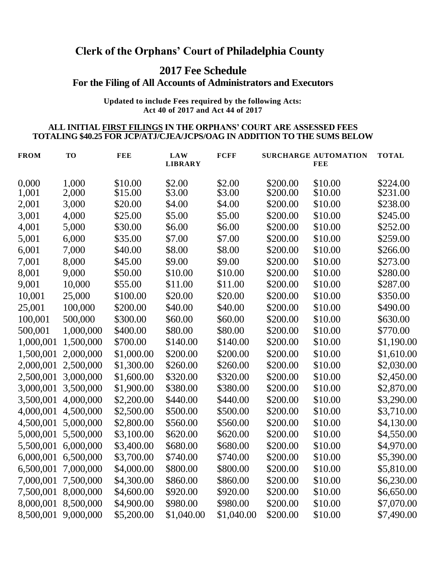# **Clerk of the Orphans' Court of Philadelphia County**

# **2017 Fee Schedule**

### **For the Filing of All Accounts of Administrators and Executors**

**Updated to include Fees required by the following Acts: Act 40 of 2017 and Act 44 of 2017**

#### **ALL INITIAL FIRST FILINGS IN THE ORPHANS' COURT ARE ASSESSED FEES TOTALING \$40.25 FOR JCP/ATJ/CJEA/JCPS/OAG IN ADDITION TO THE SUMS BELOW**

| <b>FROM</b> | <b>TO</b> | <b>FEE</b> | <b>LAW</b><br><b>LIBRARY</b> | <b>FCFF</b> |          | <b>SURCHARGE AUTOMATION</b><br><b>FEE</b> | <b>TOTAL</b> |
|-------------|-----------|------------|------------------------------|-------------|----------|-------------------------------------------|--------------|
| 0,000       | 1.000     | \$10.00    | \$2.00                       | \$2.00      | \$200.00 | \$10.00                                   | \$224.00     |
| 1,001       | 2,000     | \$15.00    | \$3.00                       | \$3.00      | \$200.00 | \$10.00                                   | \$231.00     |
| 2,001       | 3,000     | \$20.00    | \$4.00                       | \$4.00      | \$200.00 | \$10.00                                   | \$238.00     |
| 3,001       | 4,000     | \$25.00    | \$5.00                       | \$5.00      | \$200.00 | \$10.00                                   | \$245.00     |
| 4,001       | 5,000     | \$30.00    | \$6.00                       | \$6.00      | \$200.00 | \$10.00                                   | \$252.00     |
| 5,001       | 6,000     | \$35.00    | \$7.00                       | \$7.00      | \$200.00 | \$10.00                                   | \$259.00     |
| 6,001       | 7,000     | \$40.00    | \$8.00                       | \$8.00      | \$200.00 | \$10.00                                   | \$266.00     |
| 7,001       | 8,000     | \$45.00    | \$9.00                       | \$9.00      | \$200.00 | \$10.00                                   | \$273.00     |
| 8,001       | 9,000     | \$50.00    | \$10.00                      | \$10.00     | \$200.00 | \$10.00                                   | \$280.00     |
| 9,001       | 10,000    | \$55.00    | \$11.00                      | \$11.00     | \$200.00 | \$10.00                                   | \$287.00     |
| 10,001      | 25,000    | \$100.00   | \$20.00                      | \$20.00     | \$200.00 | \$10.00                                   | \$350.00     |
| 25,001      | 100,000   | \$200.00   | \$40.00                      | \$40.00     | \$200.00 | \$10.00                                   | \$490.00     |
| 100,001     | 500,000   | \$300.00   | \$60.00                      | \$60.00     | \$200.00 | \$10.00                                   | \$630.00     |
| 500,001     | 1,000,000 | \$400.00   | \$80.00                      | \$80.00     | \$200.00 | \$10.00                                   | \$770.00     |
| 1,000,001   | 1,500,000 | \$700.00   | \$140.00                     | \$140.00    | \$200.00 | \$10.00                                   | \$1,190.00   |
| 1,500,001   | 2,000,000 | \$1,000.00 | \$200.00                     | \$200.00    | \$200.00 | \$10.00                                   | \$1,610.00   |
| 2,000,001   | 2,500,000 | \$1,300.00 | \$260.00                     | \$260.00    | \$200.00 | \$10.00                                   | \$2,030.00   |
| 2,500,001   | 3,000,000 | \$1,600.00 | \$320.00                     | \$320.00    | \$200.00 | \$10.00                                   | \$2,450.00   |
| 3,000,001   | 3,500,000 | \$1,900.00 | \$380.00                     | \$380.00    | \$200.00 | \$10.00                                   | \$2,870.00   |
| 3,500,001   | 4,000,000 | \$2,200.00 | \$440.00                     | \$440.00    | \$200.00 | \$10.00                                   | \$3,290.00   |
| 4,000,001   | 4,500,000 | \$2,500.00 | \$500.00                     | \$500.00    | \$200.00 | \$10.00                                   | \$3,710.00   |
| 4,500,001   | 5,000,000 | \$2,800.00 | \$560.00                     | \$560.00    | \$200.00 | \$10.00                                   | \$4,130.00   |
| 5,000,001   | 5,500,000 | \$3,100.00 | \$620.00                     | \$620.00    | \$200.00 | \$10.00                                   | \$4,550.00   |
| 5,500,001   | 6,000,000 | \$3,400.00 | \$680.00                     | \$680.00    | \$200.00 | \$10.00                                   | \$4,970.00   |
| 6,000,001   | 6,500,000 | \$3,700.00 | \$740.00                     | \$740.00    | \$200.00 | \$10.00                                   | \$5,390.00   |
| 6,500,001   | 7,000,000 | \$4,000.00 | \$800.00                     | \$800.00    | \$200.00 | \$10.00                                   | \$5,810.00   |
| 7,000,001   | 7,500,000 | \$4,300.00 | \$860.00                     | \$860.00    | \$200.00 | \$10.00                                   | \$6,230.00   |
| 7,500,001   | 8,000,000 | \$4,600.00 | \$920.00                     | \$920.00    | \$200.00 | \$10.00                                   | \$6,650.00   |
| 8,000,001   | 8,500,000 | \$4,900.00 | \$980.00                     | \$980.00    | \$200.00 | \$10.00                                   | \$7,070.00   |
| 8,500,001   | 9,000,000 | \$5,200.00 | \$1,040.00                   | \$1,040.00  | \$200.00 | \$10.00                                   | \$7,490.00   |